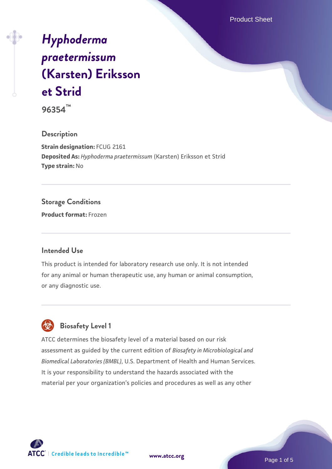Product Sheet

# *[Hyphoderma](https://www.atcc.org/products/96354) [praetermissum](https://www.atcc.org/products/96354)* **[\(Karsten\) Eriksson](https://www.atcc.org/products/96354) [et Strid](https://www.atcc.org/products/96354)**

**96354™**

#### **Description**

**Strain designation:** FCUG 2161 **Deposited As:** *Hyphoderma praetermissum* (Karsten) Eriksson et Strid **Type strain:** No

### **Storage Conditions**

**Product format:** Frozen

#### **Intended Use**

This product is intended for laboratory research use only. It is not intended for any animal or human therapeutic use, any human or animal consumption, or any diagnostic use.

## **Biosafety Level 1**

ATCC determines the biosafety level of a material based on our risk assessment as guided by the current edition of *Biosafety in Microbiological and Biomedical Laboratories (BMBL)*, U.S. Department of Health and Human Services. It is your responsibility to understand the hazards associated with the material per your organization's policies and procedures as well as any other



**[www.atcc.org](http://www.atcc.org)**

Page 1 of 5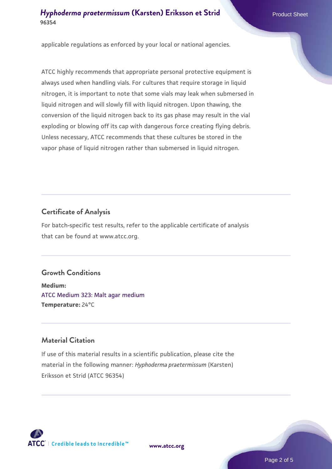#### *[Hyphoderma praetermissum](https://www.atcc.org/products/96354)* [\(Karsten\) Eriksson et Strid](https://www.atcc.org/products/96354) **96354**

applicable regulations as enforced by your local or national agencies.

ATCC highly recommends that appropriate personal protective equipment is always used when handling vials. For cultures that require storage in liquid nitrogen, it is important to note that some vials may leak when submersed in liquid nitrogen and will slowly fill with liquid nitrogen. Upon thawing, the conversion of the liquid nitrogen back to its gas phase may result in the vial exploding or blowing off its cap with dangerous force creating flying debris. Unless necessary, ATCC recommends that these cultures be stored in the vapor phase of liquid nitrogen rather than submersed in liquid nitrogen.

#### **Certificate of Analysis**

For batch-specific test results, refer to the applicable certificate of analysis that can be found at www.atcc.org.

#### **Growth Conditions**

**Medium:**  [ATCC Medium 323: Malt agar medium](https://www.atcc.org/-/media/product-assets/documents/microbial-media-formulations/3/2/3/atcc-medium-323.pdf?rev=58d6457ee20149d7a1c844947569ef92) **Temperature:** 24°C

#### **Material Citation**

If use of this material results in a scientific publication, please cite the material in the following manner: *Hyphoderma praetermissum* (Karsten) Eriksson et Strid (ATCC 96354)



**[www.atcc.org](http://www.atcc.org)**

Page 2 of 5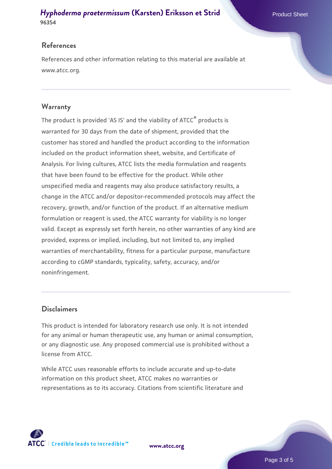#### *[Hyphoderma praetermissum](https://www.atcc.org/products/96354)* [\(Karsten\) Eriksson et Strid](https://www.atcc.org/products/96354) **96354**

#### **References**

References and other information relating to this material are available at www.atcc.org.

#### **Warranty**

The product is provided 'AS IS' and the viability of ATCC® products is warranted for 30 days from the date of shipment, provided that the customer has stored and handled the product according to the information included on the product information sheet, website, and Certificate of Analysis. For living cultures, ATCC lists the media formulation and reagents that have been found to be effective for the product. While other unspecified media and reagents may also produce satisfactory results, a change in the ATCC and/or depositor-recommended protocols may affect the recovery, growth, and/or function of the product. If an alternative medium formulation or reagent is used, the ATCC warranty for viability is no longer valid. Except as expressly set forth herein, no other warranties of any kind are provided, express or implied, including, but not limited to, any implied warranties of merchantability, fitness for a particular purpose, manufacture according to cGMP standards, typicality, safety, accuracy, and/or noninfringement.

#### **Disclaimers**

This product is intended for laboratory research use only. It is not intended for any animal or human therapeutic use, any human or animal consumption, or any diagnostic use. Any proposed commercial use is prohibited without a license from ATCC.

While ATCC uses reasonable efforts to include accurate and up-to-date information on this product sheet, ATCC makes no warranties or representations as to its accuracy. Citations from scientific literature and



**[www.atcc.org](http://www.atcc.org)**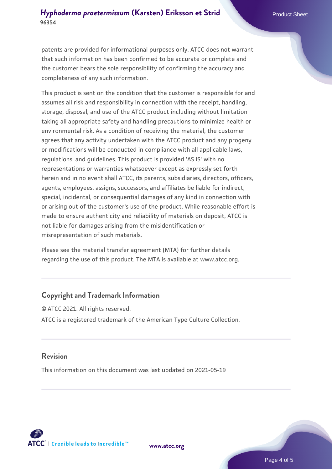#### *[Hyphoderma praetermissum](https://www.atcc.org/products/96354)* [\(Karsten\) Eriksson et Strid](https://www.atcc.org/products/96354) **96354**

patents are provided for informational purposes only. ATCC does not warrant that such information has been confirmed to be accurate or complete and the customer bears the sole responsibility of confirming the accuracy and completeness of any such information.

This product is sent on the condition that the customer is responsible for and assumes all risk and responsibility in connection with the receipt, handling, storage, disposal, and use of the ATCC product including without limitation taking all appropriate safety and handling precautions to minimize health or environmental risk. As a condition of receiving the material, the customer agrees that any activity undertaken with the ATCC product and any progeny or modifications will be conducted in compliance with all applicable laws, regulations, and guidelines. This product is provided 'AS IS' with no representations or warranties whatsoever except as expressly set forth herein and in no event shall ATCC, its parents, subsidiaries, directors, officers, agents, employees, assigns, successors, and affiliates be liable for indirect, special, incidental, or consequential damages of any kind in connection with or arising out of the customer's use of the product. While reasonable effort is made to ensure authenticity and reliability of materials on deposit, ATCC is not liable for damages arising from the misidentification or misrepresentation of such materials.

Please see the material transfer agreement (MTA) for further details regarding the use of this product. The MTA is available at www.atcc.org.

#### **Copyright and Trademark Information**

© ATCC 2021. All rights reserved. ATCC is a registered trademark of the American Type Culture Collection.

#### **Revision**

This information on this document was last updated on 2021-05-19



**[www.atcc.org](http://www.atcc.org)**